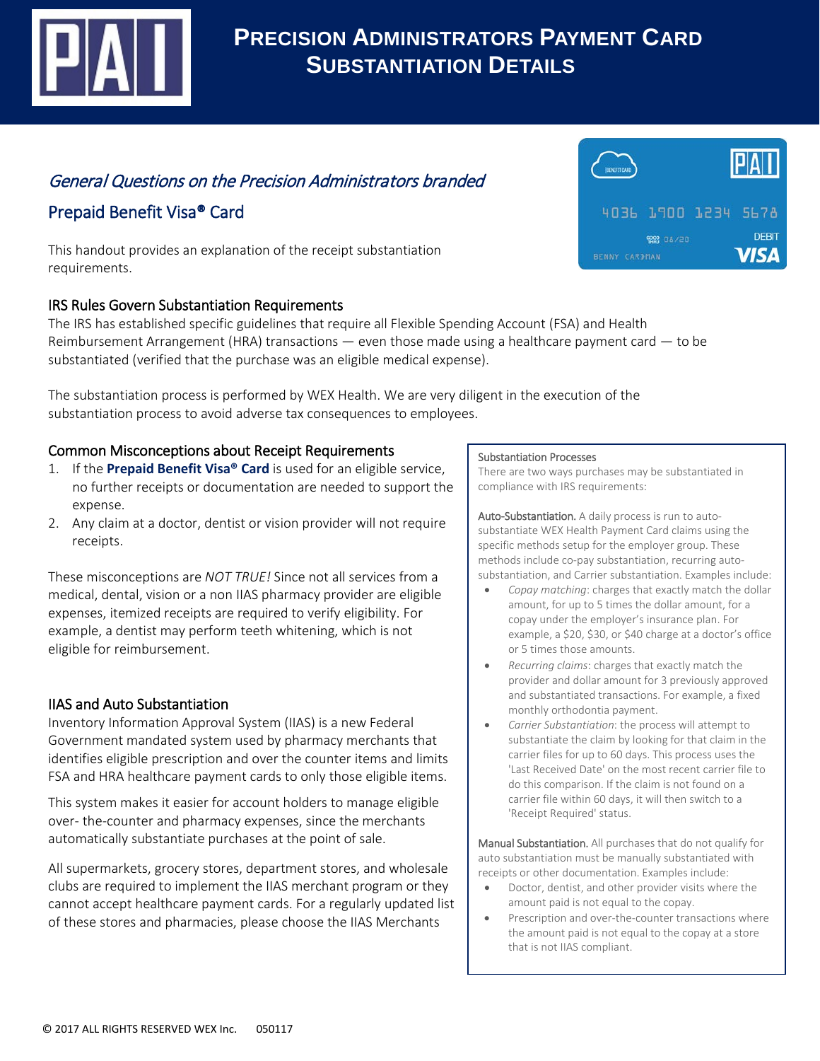

# **PRECISION ADMINISTRATORS PAYMENT CARD SUBSTANTIATION DETAILS**

## General Questions on the Precision Administrators branded

## Prepaid Benefit Visa® Card

This handout provides an explanation of the receipt substantiation requirements.

## IRS Rules Govern Substantiation Requirements

The IRS has established specific guidelines that require all Flexible Spending Account (FSA) and Health Reimbursement Arrangement (HRA) transactions  $-$  even those made using a healthcare payment card  $-$  to be substantiated (verified that the purchase was an eligible medical expense).

The substantiation process is performed by WEX Health. We are very diligent in the execution of the substantiation process to avoid adverse tax consequences to employees.

## Common Misconceptions about Receipt Requirements

- 1. If the **Prepaid Benefit Visa® Card** is used for an eligible service, no further receipts or documentation are needed to support the expense.
- 2. Any claim at a doctor, dentist or vision provider will not require receipts.

These misconceptions are *NOT TRUE!* Since not all services from a medical, dental, vision or a non IIAS pharmacy provider are eligible expenses, itemized receipts are required to verify eligibility. For example, a dentist may perform teeth whitening, which is not eligible for reimbursement.

## IIAS and Auto Substantiation

Inventory Information Approval System (IIAS) is a new Federal Government mandated system used by pharmacy merchants that identifies eligible prescription and over the counter items and limits FSA and HRA healthcare payment cards to only those eligible items.

This system makes it easier for account holders to manage eligible over- the-counter and pharmacy expenses, since the merchants automatically substantiate purchases at the point of sale.

All supermarkets, grocery stores, department stores, and wholesale clubs are required to implement the IIAS merchant program or they cannot accept healthcare payment cards. For a regularly updated list of these stores and pharmacies, please choose the IIAS Merchants

#### Substantiation Processes

There are two ways purchases may be substantiated in compliance with IRS requirements:

Auto-Substantiation. A daily process is run to autosubstantiate WEX Health Payment Card claims using the specific methods setup for the employer group. These methods include co-pay substantiation, recurring autosubstantiation, and Carrier substantiation. Examples include:

- *Copay matching*: charges that exactly match the dollar amount, for up to 5 times the dollar amount, for a copay under the employer's insurance plan. For example, a \$20, \$30, or \$40 charge at a doctor's office or 5 times those amounts.
- *Recurring claims*: charges that exactly match the provider and dollar amount for 3 previously approved and substantiated transactions. For example, a fixed monthly orthodontia payment.
- *Carrier Substantiation*: the process will attempt to substantiate the claim by looking for that claim in the carrier files for up to 60 days. This process uses the 'Last Received Date' on the most recent carrier file to do this comparison. If the claim is not found on a carrier file within 60 days, it will then switch to a 'Receipt Required' status.

Manual Substantiation. All purchases that do not qualify for auto substantiation must be manually substantiated with receipts or other documentation. Examples include:

- Doctor, dentist, and other provider visits where the amount paid is not equal to the copay.
- Prescription and over-the-counter transactions where the amount paid is not equal to the copay at a store that is not IIAS compliant.